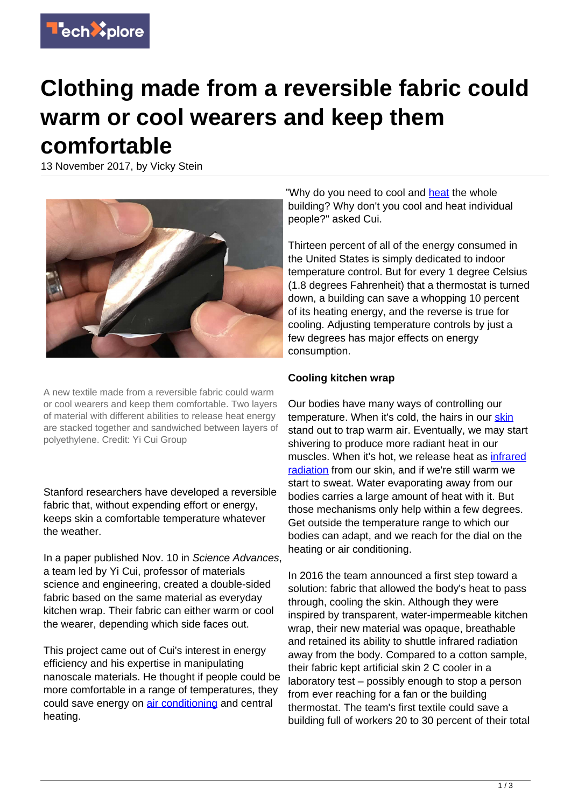

## **Clothing made from a reversible fabric could warm or cool wearers and keep them comfortable**

13 November 2017, by Vicky Stein



A new textile made from a reversible fabric could warm or cool wearers and keep them comfortable. Two layers of material with different abilities to release heat energy are stacked together and sandwiched between layers of polyethylene. Credit: Yi Cui Group

Stanford researchers have developed a reversible fabric that, without expending effort or energy, keeps skin a comfortable temperature whatever the weather.

In a paper published Nov. 10 in Science Advances, a team led by Yi Cui, professor of materials science and engineering, created a double-sided fabric based on the same material as everyday kitchen wrap. Their fabric can either warm or cool the wearer, depending which side faces out.

This project came out of Cui's interest in energy efficiency and his expertise in manipulating nanoscale materials. He thought if people could be more comfortable in a range of temperatures, they could save energy on [air conditioning](https://techxplore.com/tags/air+conditioning/) and central heating.

"Why do you need to cool and [heat](https://techxplore.com/tags/heat/) the whole building? Why don't you cool and heat individual people?" asked Cui.

Thirteen percent of all of the energy consumed in the United States is simply dedicated to indoor temperature control. But for every 1 degree Celsius (1.8 degrees Fahrenheit) that a thermostat is turned down, a building can save a whopping 10 percent of its heating energy, and the reverse is true for cooling. Adjusting temperature controls by just a few degrees has major effects on energy consumption.

## **Cooling kitchen wrap**

Our bodies have many ways of controlling our temperature. When it's cold, the hairs in our [skin](https://techxplore.com/tags/skin/) stand out to trap warm air. Eventually, we may start shivering to produce more radiant heat in our muscles. When it's hot, we release heat as [infrared](https://techxplore.com/tags/infrared+radiation/) [radiation](https://techxplore.com/tags/infrared+radiation/) from our skin, and if we're still warm we start to sweat. Water evaporating away from our bodies carries a large amount of heat with it. But those mechanisms only help within a few degrees. Get outside the temperature range to which our bodies can adapt, and we reach for the dial on the heating or air conditioning.

In 2016 the team announced a first step toward a solution: fabric that allowed the body's heat to pass through, cooling the skin. Although they were inspired by transparent, water-impermeable kitchen wrap, their new material was opaque, breathable and retained its ability to shuttle infrared radiation away from the body. Compared to a cotton sample, their fabric kept artificial skin 2 C cooler in a laboratory test – possibly enough to stop a person from ever reaching for a fan or the building thermostat. The team's first textile could save a building full of workers 20 to 30 percent of their total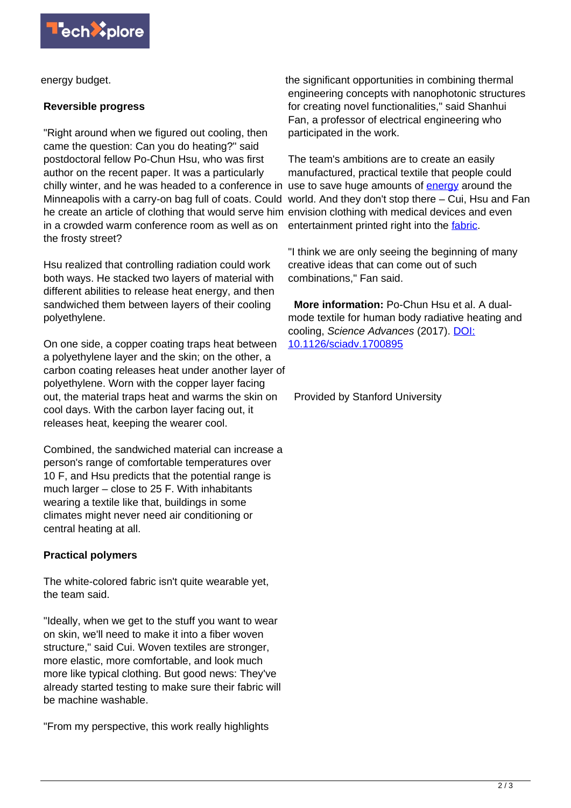

energy budget.

## **Reversible progress**

"Right around when we figured out cooling, then came the question: Can you do heating?" said postdoctoral fellow Po-Chun Hsu, who was first author on the recent paper. It was a particularly chilly winter, and he was headed to a conference in use to save huge amounts of **[energy](https://techxplore.com/tags/energy/)** around the Minneapolis with a carry-on bag full of coats. Could world. And they don't stop there – Cui, Hsu and Fan he create an article of clothing that would serve him envision clothing with medical devices and even in a crowded warm conference room as well as on the frosty street?

Hsu realized that controlling radiation could work both ways. He stacked two layers of material with different abilities to release heat energy, and then sandwiched them between layers of their cooling polyethylene.

On one side, a copper coating traps heat between a polyethylene layer and the skin; on the other, a carbon coating releases heat under another layer of polyethylene. Worn with the copper layer facing out, the material traps heat and warms the skin on cool days. With the carbon layer facing out, it releases heat, keeping the wearer cool.

Combined, the sandwiched material can increase a person's range of comfortable temperatures over 10 F, and Hsu predicts that the potential range is much larger – close to 25 F. With inhabitants wearing a textile like that, buildings in some climates might never need air conditioning or central heating at all.

## **Practical polymers**

The white-colored fabric isn't quite wearable yet, the team said.

"Ideally, when we get to the stuff you want to wear on skin, we'll need to make it into a fiber woven structure," said Cui. Woven textiles are stronger, more elastic, more comfortable, and look much more like typical clothing. But good news: They've already started testing to make sure their fabric will be machine washable.

"From my perspective, this work really highlights

the significant opportunities in combining thermal engineering concepts with nanophotonic structures for creating novel functionalities," said Shanhui Fan, a professor of electrical engineering who participated in the work.

The team's ambitions are to create an easily manufactured, practical textile that people could entertainment printed right into the [fabric.](https://techxplore.com/tags/fabric/)

"I think we are only seeing the beginning of many creative ideas that can come out of such combinations," Fan said.

 **More information:** Po-Chun Hsu et al. A dualmode textile for human body radiative heating and cooling, Science Advances (2017). [DOI:](http://dx.doi.org/10.1126/sciadv.1700895) [10.1126/sciadv.1700895](http://dx.doi.org/10.1126/sciadv.1700895)

Provided by Stanford University